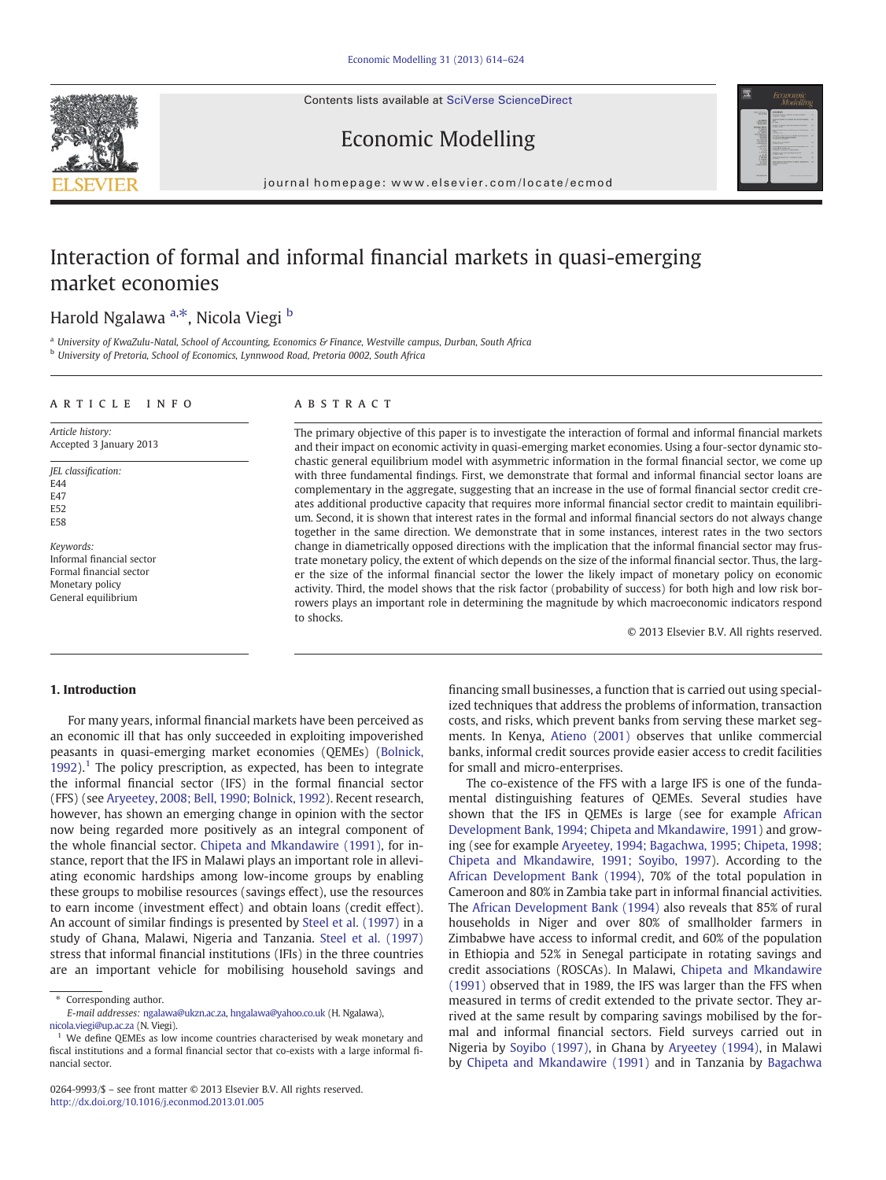Contents lists available at [SciVerse ScienceDirect](http://www.sciencedirect.com/science/journal/02649993)





Economic Modelling

journal homepage: www.elsevier.com/locate/ecmod

## Interaction of formal and informal financial markets in quasi-emerging market economies

### Harold Ngalawa <sup>a,\*</sup>, Nicola Viegi <sup>b</sup>

a University of KwaZulu-Natal, School of Accounting, Economics & Finance, Westville campus, Durban, South Africa <sup>b</sup> University of Pretoria, School of Economics, Lynnwood Road, Pretoria 0002, South Africa

#### ARTICLE INFO ABSTRACT

Article history: Accepted 3 January 2013

JEL classification: E44 E47 E52 E58

Keywords: Informal financial sector Formal financial sector Monetary policy General equilibrium

The primary objective of this paper is to investigate the interaction of formal and informal financial markets and their impact on economic activity in quasi-emerging market economies. Using a four-sector dynamic stochastic general equilibrium model with asymmetric information in the formal financial sector, we come up with three fundamental findings. First, we demonstrate that formal and informal financial sector loans are complementary in the aggregate, suggesting that an increase in the use of formal financial sector credit creates additional productive capacity that requires more informal financial sector credit to maintain equilibrium. Second, it is shown that interest rates in the formal and informal financial sectors do not always change together in the same direction. We demonstrate that in some instances, interest rates in the two sectors change in diametrically opposed directions with the implication that the informal financial sector may frustrate monetary policy, the extent of which depends on the size of the informal financial sector. Thus, the larger the size of the informal financial sector the lower the likely impact of monetary policy on economic activity. Third, the model shows that the risk factor (probability of success) for both high and low risk borrowers plays an important role in determining the magnitude by which macroeconomic indicators respond to shocks.

© 2013 Elsevier B.V. All rights reserved.

### 1. Introduction

For many years, informal financial markets have been perceived as an economic ill that has only succeeded in exploiting impoverished peasants in quasi-emerging market economies (QEMEs) [\(Bolnick,](#page--1-0) [1992\)](#page--1-0). $<sup>1</sup>$  The policy prescription, as expected, has been to integrate</sup> the informal financial sector (IFS) in the formal financial sector (FFS) (see [Aryeetey, 2008; Bell, 1990; Bolnick, 1992\)](#page--1-0). Recent research, however, has shown an emerging change in opinion with the sector now being regarded more positively as an integral component of the whole financial sector. [Chipeta and Mkandawire \(1991\)](#page--1-0), for instance, report that the IFS in Malawi plays an important role in alleviating economic hardships among low-income groups by enabling these groups to mobilise resources (savings effect), use the resources to earn income (investment effect) and obtain loans (credit effect). An account of similar findings is presented by [Steel et al. \(1997\)](#page--1-0) in a study of Ghana, Malawi, Nigeria and Tanzania. [Steel et al. \(1997\)](#page--1-0) stress that informal financial institutions (IFIs) in the three countries are an important vehicle for mobilising household savings and

financing small businesses, a function that is carried out using specialized techniques that address the problems of information, transaction costs, and risks, which prevent banks from serving these market segments. In Kenya, [Atieno \(2001\)](#page--1-0) observes that unlike commercial banks, informal credit sources provide easier access to credit facilities for small and micro-enterprises.

The co-existence of the FFS with a large IFS is one of the fundamental distinguishing features of QEMEs. Several studies have shown that the IFS in QEMEs is large (see for example [African](#page--1-0) [Development Bank, 1994; Chipeta and Mkandawire, 1991\)](#page--1-0) and growing (see for example [Aryeetey, 1994; Bagachwa, 1995; Chipeta, 1998;](#page--1-0) [Chipeta and Mkandawire, 1991; Soyibo, 1997](#page--1-0)). According to the [African Development Bank \(1994\)](#page--1-0), 70% of the total population in Cameroon and 80% in Zambia take part in informal financial activities. The [African Development Bank \(1994\)](#page--1-0) also reveals that 85% of rural households in Niger and over 80% of smallholder farmers in Zimbabwe have access to informal credit, and 60% of the population in Ethiopia and 52% in Senegal participate in rotating savings and credit associations (ROSCAs). In Malawi, [Chipeta and Mkandawire](#page--1-0) [\(1991\)](#page--1-0) observed that in 1989, the IFS was larger than the FFS when measured in terms of credit extended to the private sector. They arrived at the same result by comparing savings mobilised by the formal and informal financial sectors. Field surveys carried out in Nigeria by [Soyibo \(1997\),](#page--1-0) in Ghana by [Aryeetey \(1994\),](#page--1-0) in Malawi by [Chipeta and Mkandawire \(1991\)](#page--1-0) and in Tanzania by [Bagachwa](#page--1-0)

Corresponding author.

E-mail addresses: [ngalawa@ukzn.ac.za,](mailto:ngalawa@ukzn.ac.za) [hngalawa@yahoo.co.uk](mailto:hngalawa@yahoo.co.uk) (H. Ngalawa), [nicola.viegi@up.ac.za](mailto:nicola.viegi@up.ac.za) (N. Viegi).

We define QEMEs as low income countries characterised by weak monetary and fiscal institutions and a formal financial sector that co-exists with a large informal financial sector.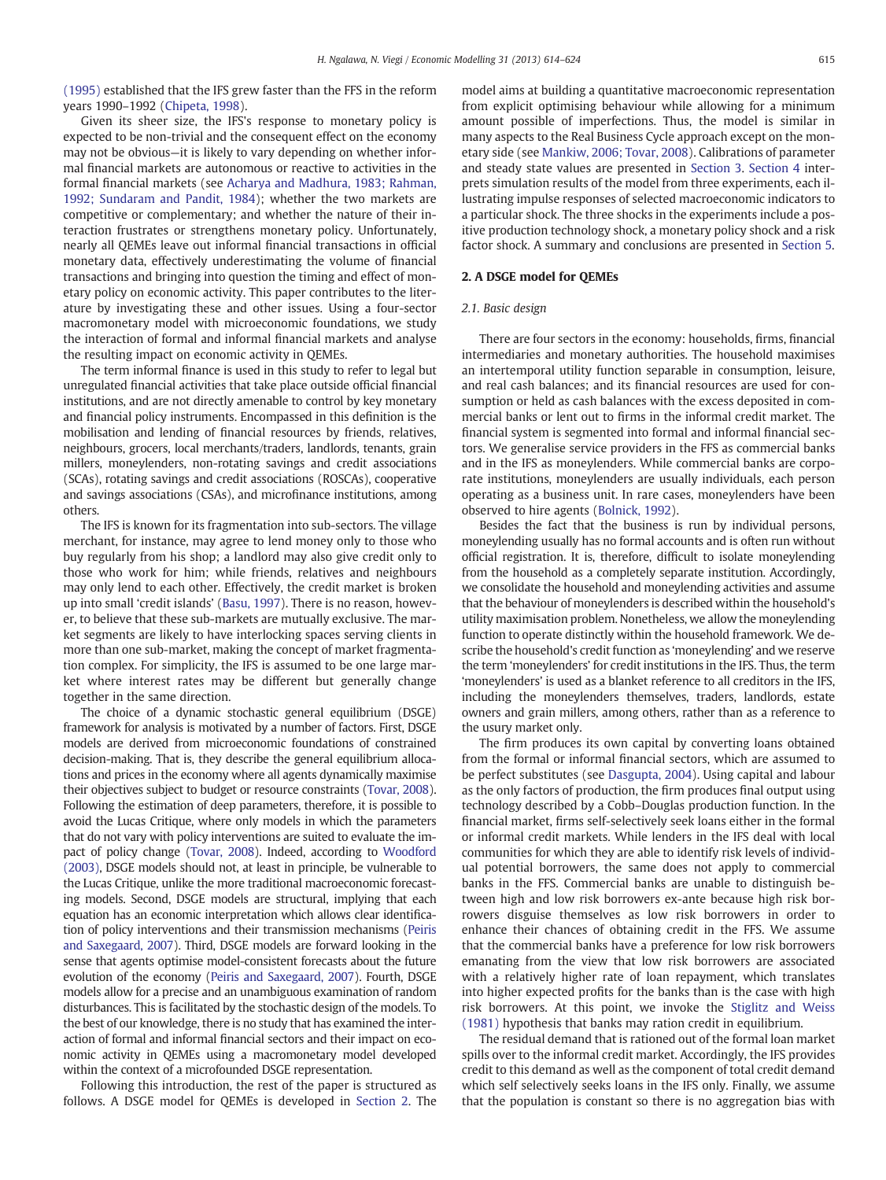[\(1995\)](#page--1-0) established that the IFS grew faster than the FFS in the reform years 1990–1992 [\(Chipeta, 1998](#page--1-0)).

Given its sheer size, the IFS's response to monetary policy is expected to be non-trivial and the consequent effect on the economy may not be obvious—it is likely to vary depending on whether informal financial markets are autonomous or reactive to activities in the formal financial markets (see [Acharya and Madhura, 1983; Rahman,](#page--1-0) [1992; Sundaram and Pandit, 1984\)](#page--1-0); whether the two markets are competitive or complementary; and whether the nature of their interaction frustrates or strengthens monetary policy. Unfortunately, nearly all QEMEs leave out informal financial transactions in official monetary data, effectively underestimating the volume of financial transactions and bringing into question the timing and effect of monetary policy on economic activity. This paper contributes to the literature by investigating these and other issues. Using a four-sector macromonetary model with microeconomic foundations, we study the interaction of formal and informal financial markets and analyse the resulting impact on economic activity in QEMEs.

The term informal finance is used in this study to refer to legal but unregulated financial activities that take place outside official financial institutions, and are not directly amenable to control by key monetary and financial policy instruments. Encompassed in this definition is the mobilisation and lending of financial resources by friends, relatives, neighbours, grocers, local merchants/traders, landlords, tenants, grain millers, moneylenders, non-rotating savings and credit associations (SCAs), rotating savings and credit associations (ROSCAs), cooperative and savings associations (CSAs), and microfinance institutions, among others.

The IFS is known for its fragmentation into sub-sectors. The village merchant, for instance, may agree to lend money only to those who buy regularly from his shop; a landlord may also give credit only to those who work for him; while friends, relatives and neighbours may only lend to each other. Effectively, the credit market is broken up into small 'credit islands' [\(Basu, 1997\)](#page--1-0). There is no reason, however, to believe that these sub-markets are mutually exclusive. The market segments are likely to have interlocking spaces serving clients in more than one sub-market, making the concept of market fragmentation complex. For simplicity, the IFS is assumed to be one large market where interest rates may be different but generally change together in the same direction.

The choice of a dynamic stochastic general equilibrium (DSGE) framework for analysis is motivated by a number of factors. First, DSGE models are derived from microeconomic foundations of constrained decision-making. That is, they describe the general equilibrium allocations and prices in the economy where all agents dynamically maximise their objectives subject to budget or resource constraints [\(Tovar, 2008](#page--1-0)). Following the estimation of deep parameters, therefore, it is possible to avoid the Lucas Critique, where only models in which the parameters that do not vary with policy interventions are suited to evaluate the impact of policy change [\(Tovar, 2008\)](#page--1-0). Indeed, according to [Woodford](#page--1-0) [\(2003\),](#page--1-0) DSGE models should not, at least in principle, be vulnerable to the Lucas Critique, unlike the more traditional macroeconomic forecasting models. Second, DSGE models are structural, implying that each equation has an economic interpretation which allows clear identification of policy interventions and their transmission mechanisms [\(Peiris](#page--1-0) [and Saxegaard, 2007\)](#page--1-0). Third, DSGE models are forward looking in the sense that agents optimise model-consistent forecasts about the future evolution of the economy ([Peiris and Saxegaard, 2007](#page--1-0)). Fourth, DSGE models allow for a precise and an unambiguous examination of random disturbances. This is facilitated by the stochastic design of the models. To the best of our knowledge, there is no study that has examined the interaction of formal and informal financial sectors and their impact on economic activity in QEMEs using a macromonetary model developed within the context of a microfounded DSGE representation.

Following this introduction, the rest of the paper is structured as follows. A DSGE model for QEMEs is developed in Section 2. The model aims at building a quantitative macroeconomic representation from explicit optimising behaviour while allowing for a minimum amount possible of imperfections. Thus, the model is similar in many aspects to the Real Business Cycle approach except on the monetary side (see [Mankiw, 2006; Tovar, 2008\)](#page--1-0). Calibrations of parameter and steady state values are presented in [Section 3.](#page--1-0) [Section 4](#page--1-0) interprets simulation results of the model from three experiments, each illustrating impulse responses of selected macroeconomic indicators to a particular shock. The three shocks in the experiments include a positive production technology shock, a monetary policy shock and a risk factor shock. A summary and conclusions are presented in [Section 5](#page--1-0).

#### 2. A DSGE model for QEMEs

#### 2.1. Basic design

There are four sectors in the economy: households, firms, financial intermediaries and monetary authorities. The household maximises an intertemporal utility function separable in consumption, leisure, and real cash balances; and its financial resources are used for consumption or held as cash balances with the excess deposited in commercial banks or lent out to firms in the informal credit market. The financial system is segmented into formal and informal financial sectors. We generalise service providers in the FFS as commercial banks and in the IFS as moneylenders. While commercial banks are corporate institutions, moneylenders are usually individuals, each person operating as a business unit. In rare cases, moneylenders have been observed to hire agents [\(Bolnick, 1992](#page--1-0)).

Besides the fact that the business is run by individual persons, moneylending usually has no formal accounts and is often run without official registration. It is, therefore, difficult to isolate moneylending from the household as a completely separate institution. Accordingly, we consolidate the household and moneylending activities and assume that the behaviour of moneylenders is described within the household's utility maximisation problem. Nonetheless, we allow the moneylending function to operate distinctly within the household framework. We describe the household's credit function as 'moneylending' and we reserve the term 'moneylenders' for credit institutions in the IFS. Thus, the term 'moneylenders' is used as a blanket reference to all creditors in the IFS, including the moneylenders themselves, traders, landlords, estate owners and grain millers, among others, rather than as a reference to the usury market only.

The firm produces its own capital by converting loans obtained from the formal or informal financial sectors, which are assumed to be perfect substitutes (see [Dasgupta, 2004](#page--1-0)). Using capital and labour as the only factors of production, the firm produces final output using technology described by a Cobb–Douglas production function. In the financial market, firms self-selectively seek loans either in the formal or informal credit markets. While lenders in the IFS deal with local communities for which they are able to identify risk levels of individual potential borrowers, the same does not apply to commercial banks in the FFS. Commercial banks are unable to distinguish between high and low risk borrowers ex-ante because high risk borrowers disguise themselves as low risk borrowers in order to enhance their chances of obtaining credit in the FFS. We assume that the commercial banks have a preference for low risk borrowers emanating from the view that low risk borrowers are associated with a relatively higher rate of loan repayment, which translates into higher expected profits for the banks than is the case with high risk borrowers. At this point, we invoke the [Stiglitz and Weiss](#page--1-0) [\(1981\)](#page--1-0) hypothesis that banks may ration credit in equilibrium.

The residual demand that is rationed out of the formal loan market spills over to the informal credit market. Accordingly, the IFS provides credit to this demand as well as the component of total credit demand which self selectively seeks loans in the IFS only. Finally, we assume that the population is constant so there is no aggregation bias with